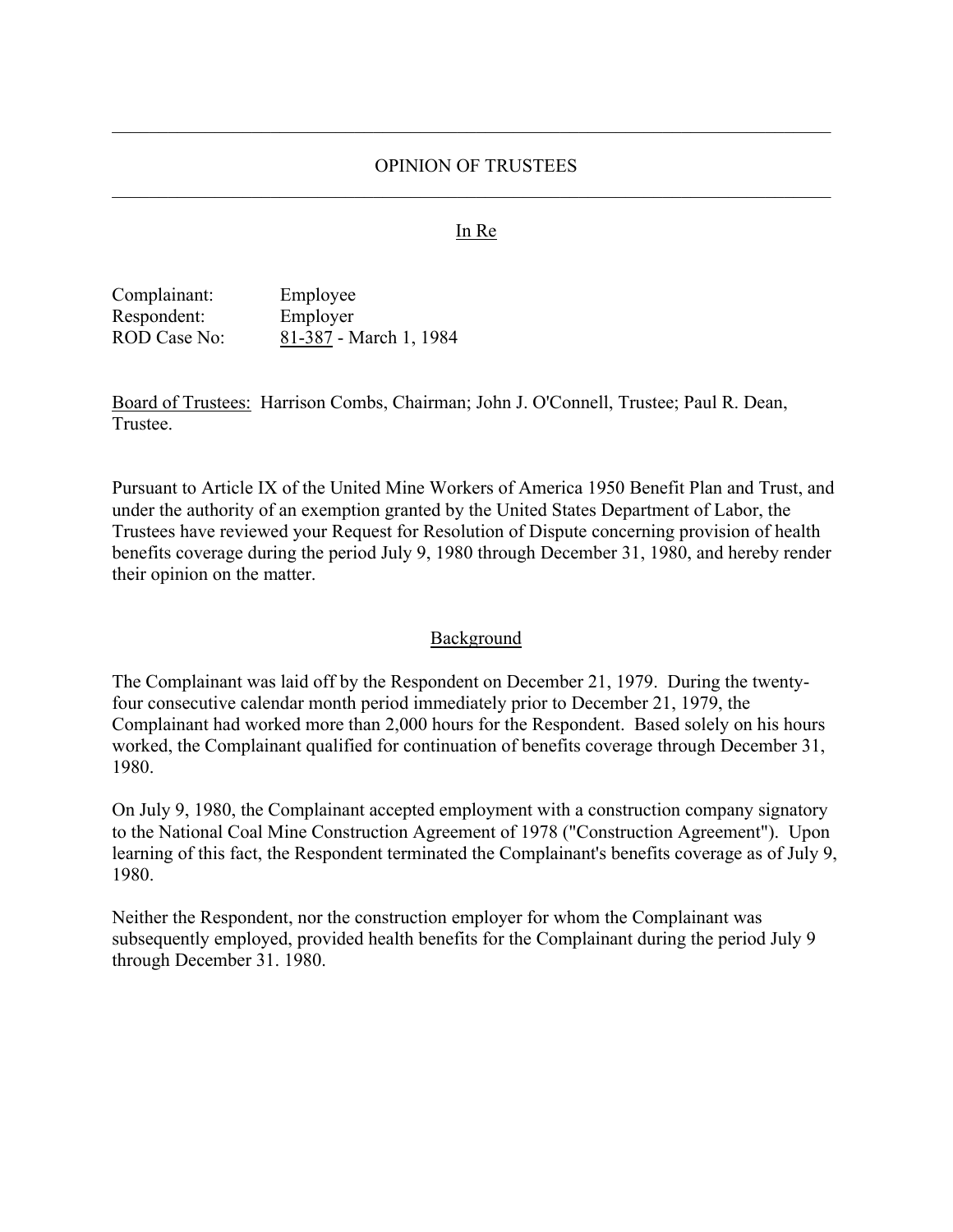## OPINION OF TRUSTEES

#### In Re

Complainant: Employee Respondent: Employer ROD Case No: 81-387 - March 1, 1984

Board of Trustees: Harrison Combs, Chairman; John J. O'Connell, Trustee; Paul R. Dean, Trustee.

Pursuant to Article IX of the United Mine Workers of America 1950 Benefit Plan and Trust, and under the authority of an exemption granted by the United States Department of Labor, the Trustees have reviewed your Request for Resolution of Dispute concerning provision of health benefits coverage during the period July 9, 1980 through December 31, 1980, and hereby render their opinion on the matter.

#### Background

The Complainant was laid off by the Respondent on December 21, 1979. During the twentyfour consecutive calendar month period immediately prior to December 21, 1979, the Complainant had worked more than 2,000 hours for the Respondent. Based solely on his hours worked, the Complainant qualified for continuation of benefits coverage through December 31, 1980.

On July 9, 1980, the Complainant accepted employment with a construction company signatory to the National Coal Mine Construction Agreement of 1978 ("Construction Agreement"). Upon learning of this fact, the Respondent terminated the Complainant's benefits coverage as of July 9, 1980.

Neither the Respondent, nor the construction employer for whom the Complainant was subsequently employed, provided health benefits for the Complainant during the period July 9 through December 31. 1980.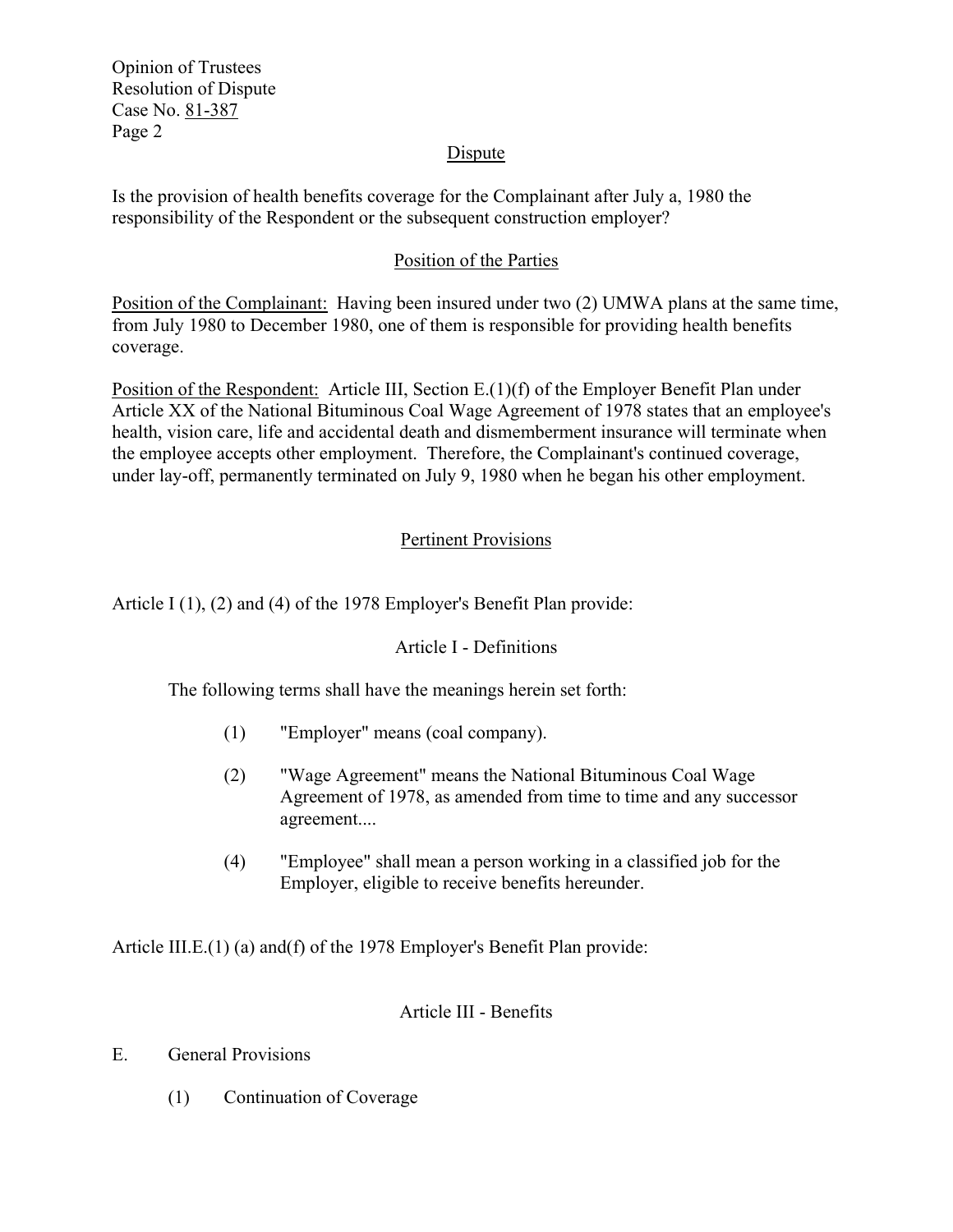Opinion of Trustees Resolution of Dispute Case No. 81-387 Page 2

## **Dispute**

Is the provision of health benefits coverage for the Complainant after July a, 1980 the responsibility of the Respondent or the subsequent construction employer?

## Position of the Parties

Position of the Complainant: Having been insured under two (2) UMWA plans at the same time, from July 1980 to December 1980, one of them is responsible for providing health benefits coverage.

Position of the Respondent: Article III, Section E.(1)(f) of the Employer Benefit Plan under Article XX of the National Bituminous Coal Wage Agreement of 1978 states that an employee's health, vision care, life and accidental death and dismemberment insurance will terminate when the employee accepts other employment. Therefore, the Complainant's continued coverage, under lay-off, permanently terminated on July 9, 1980 when he began his other employment.

# Pertinent Provisions

Article I (1), (2) and (4) of the 1978 Employer's Benefit Plan provide:

## Article I - Definitions

The following terms shall have the meanings herein set forth:

- (1) "Employer" means (coal company).
- (2) "Wage Agreement" means the National Bituminous Coal Wage Agreement of 1978, as amended from time to time and any successor agreement....
- (4) "Employee" shall mean a person working in a classified job for the Employer, eligible to receive benefits hereunder.

Article III.E.(1) (a) and(f) of the 1978 Employer's Benefit Plan provide:

## Article III - Benefits

- E. General Provisions
	- (1) Continuation of Coverage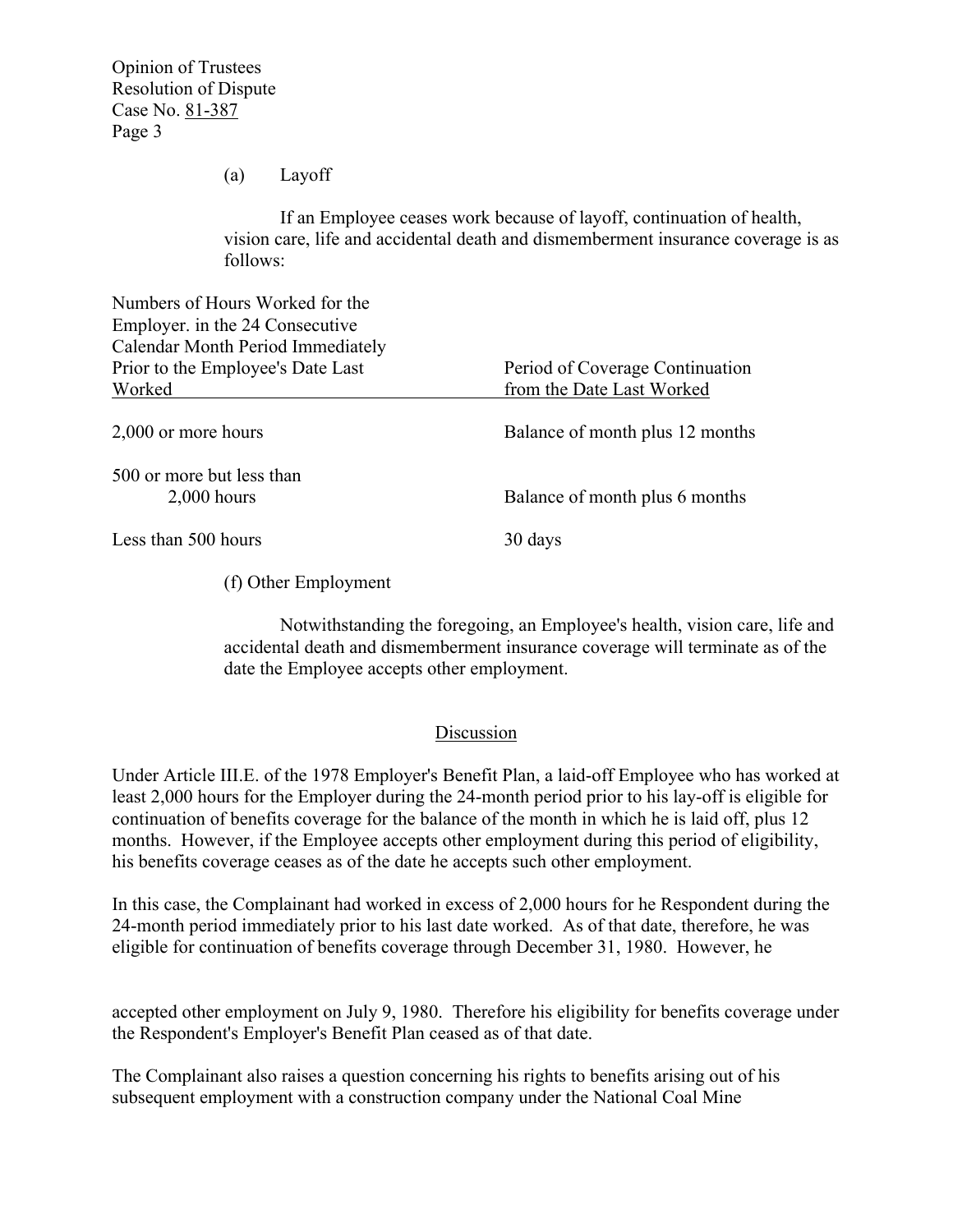Opinion of Trustees Resolution of Dispute Case No. 81-387 Page 3

(a) Layoff

If an Employee ceases work because of layoff, continuation of health, vision care, life and accidental death and dismemberment insurance coverage is as follows:

| Numbers of Hours Worked for the<br>Employer. in the 24 Consecutive |                                 |
|--------------------------------------------------------------------|---------------------------------|
| <b>Calendar Month Period Immediately</b>                           |                                 |
| Prior to the Employee's Date Last                                  | Period of Coverage Continuation |
| Worked                                                             | from the Date Last Worked       |
| 2,000 or more hours                                                | Balance of month plus 12 months |
| 500 or more but less than<br>$2,000$ hours                         | Balance of month plus 6 months  |
| Less than 500 hours                                                | 30 days                         |

(f) Other Employment

Notwithstanding the foregoing, an Employee's health, vision care, life and accidental death and dismemberment insurance coverage will terminate as of the date the Employee accepts other employment.

# Discussion

Under Article III.E. of the 1978 Employer's Benefit Plan, a laid-off Employee who has worked at least 2,000 hours for the Employer during the 24-month period prior to his lay-off is eligible for continuation of benefits coverage for the balance of the month in which he is laid off, plus 12 months. However, if the Employee accepts other employment during this period of eligibility, his benefits coverage ceases as of the date he accepts such other employment.

In this case, the Complainant had worked in excess of 2,000 hours for he Respondent during the 24-month period immediately prior to his last date worked. As of that date, therefore, he was eligible for continuation of benefits coverage through December 31, 1980. However, he

accepted other employment on July 9, 1980. Therefore his eligibility for benefits coverage under the Respondent's Employer's Benefit Plan ceased as of that date.

The Complainant also raises a question concerning his rights to benefits arising out of his subsequent employment with a construction company under the National Coal Mine